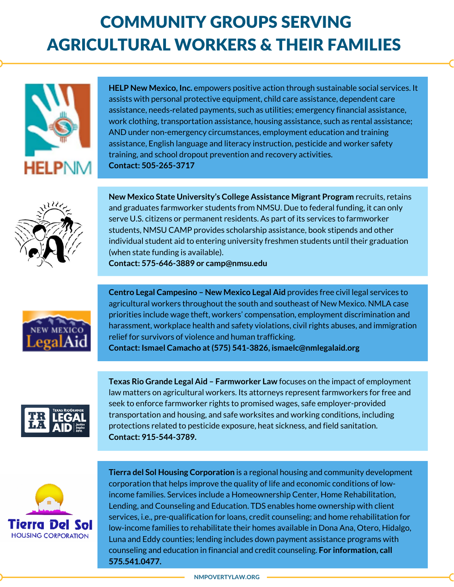## COMMUNITY GROUPS SERVING AGRICULTURAL WORKERS & THEIR FAMILIES



**HELP New Mexico, Inc.** empowers positive action through sustainable social services. It assists with personal protective equipment, child care assistance, dependent care assistance, needs‐related payments, such as utilities; emergency financial assistance, work clothing, transportation assistance, housing assistance, such as rental assistance; AND under non-emergency circumstances, employment education and training assistance, English language and literacy instruction, pesticide and worker safety training, and school dropout prevention and recovery activities. **Contact: 505-265-3717**



**New Mexico State University's College Assistance Migrant Program** recruits, retains and graduates farmworker students from NMSU. Due to federal funding, it can only serve U.S. citizens or permanent residents. As part of its services to farmworker students, NMSU CAMP provides scholarship assistance, book stipends and other individual student aid to entering university freshmen students until their graduation (when state funding is available).

**Contact: 575-646-3889 or camp@nmsu.edu**



**Centro Legal Campesino – New Mexico Legal Aid** provides free civil legal services to agricultural workers throughout the south and southeast of New Mexico. NMLA case priorities include wage theft, workers' compensation, employment discrimination and harassment, workplace health and safety violations, civil rights abuses, and immigration relief for survivors of violence and human trafficking. **Contact: Ismael Camacho at(575) 541-3826, ismaelc@nmlegalaid.org**

**Texas Rio Grande Legal Aid – Farmworker Law** focuses on the impact of employment law matters on agricultural workers. Its attorneys represent farmworkers for free and seek to enforce farmworker rights to promised wages, safe employer-provided transportation and housing, and safe worksites and working conditions, including protections related to pesticide exposure, heat sickness, and field sanitation. **Contact: 915-544-3789.**



**Tierra del Sol Housing Corporation** is a regional housing and community development corporation that helps improve the quality of life and economic conditions of lowincome families. Services include a Homeownership Center, Home Rehabilitation, Lending, and Counseling and Education. TDS enables home ownership with client services, i.e., pre-qualification for loans, credit counseling; and home rehabilitation for low-income families to rehabilitate their homes available in Dona Ana, Otero, Hidalgo, Luna and Eddy counties; lending includes down payment assistance programs with counseling and education in financial and credit counseling. **For information, call 575.541.0477.**